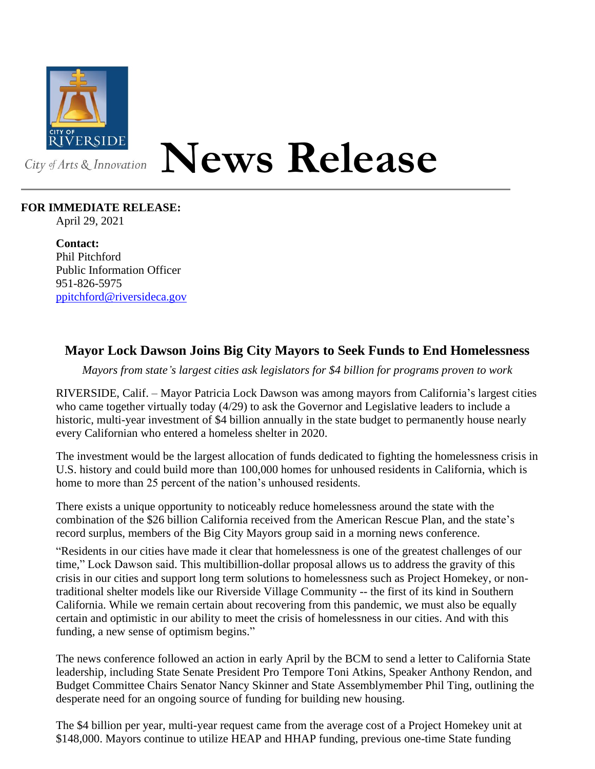

# **News Release**

# **FOR IMMEDIATE RELEASE:**

April 29, 2021

**Contact:** Phil Pitchford Public Information Officer 951-826-5975 [ppitchford@riversideca.gov](mailto:ppitchford@riversideca.gov)

# **Mayor Lock Dawson Joins Big City Mayors to Seek Funds to End Homelessness**

*Mayors from state's largest cities ask legislators for \$4 billion for programs proven to work*

RIVERSIDE, Calif. – Mayor Patricia Lock Dawson was among mayors from California's largest cities who came together virtually today (4/29) to ask the Governor and Legislative leaders to include a historic, multi-year investment of \$4 billion annually in the state budget to permanently house nearly every Californian who entered a homeless shelter in 2020.

The investment would be the largest allocation of funds dedicated to fighting the homelessness crisis in U.S. history and could build more than 100,000 homes for unhoused residents in California, which is home to more than 25 percent of the nation's unhoused residents.

There exists a unique opportunity to noticeably reduce homelessness around the state with the combination of the \$26 billion California received from the American Rescue Plan, and the state's record surplus, members of the Big City Mayors group said in a morning news conference.

"Residents in our cities have made it clear that homelessness is one of the greatest challenges of our time," Lock Dawson said. This multibillion-dollar proposal allows us to address the gravity of this crisis in our cities and support long term solutions to homelessness such as Project Homekey, or nontraditional shelter models like our Riverside Village Community -- the first of its kind in Southern California. While we remain certain about recovering from this pandemic, we must also be equally certain and optimistic in our ability to meet the crisis of homelessness in our cities. And with this funding, a new sense of optimism begins."

The news conference followed an action in early April by the BCM to send a letter to California State leadership, including State Senate President Pro Tempore Toni Atkins, Speaker Anthony Rendon, and Budget Committee Chairs Senator Nancy Skinner and State Assemblymember Phil Ting, outlining the desperate need for an ongoing source of funding for building new housing.

The \$4 billion per year, multi-year request came from the average cost of a Project Homekey unit at \$148,000. Mayors continue to utilize HEAP and HHAP funding, previous one-time State funding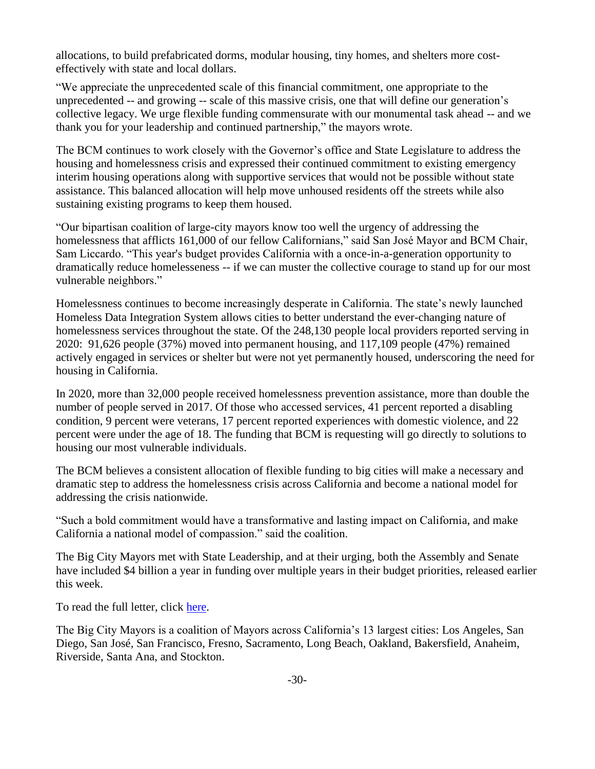allocations, to build prefabricated dorms, modular housing, tiny homes, and shelters more costeffectively with state and local dollars.

"We appreciate the unprecedented scale of this financial commitment, one appropriate to the unprecedented -- and growing -- scale of this massive crisis, one that will define our generation's collective legacy. We urge flexible funding commensurate with our monumental task ahead -- and we thank you for your leadership and continued partnership," the mayors wrote.

The BCM continues to work closely with the Governor's office and State Legislature to address the housing and homelessness crisis and expressed their continued commitment to existing emergency interim housing operations along with supportive services that would not be possible without state assistance. This balanced allocation will help move unhoused residents off the streets while also sustaining existing programs to keep them housed.

"Our bipartisan coalition of large-city mayors know too well the urgency of addressing the homelessness that afflicts 161,000 of our fellow Californians," said San José Mayor and BCM Chair, Sam Liccardo. "This year's budget provides California with a once-in-a-generation opportunity to dramatically reduce homelesseness -- if we can muster the collective courage to stand up for our most vulnerable neighbors."

Homelessness continues to become increasingly desperate in California. The state's newly launched Homeless Data Integration System allows cities to better understand the ever-changing nature of homelessness services throughout the state. Of the 248,130 people local providers reported serving in 2020: 91,626 people (37%) moved into permanent housing, and 117,109 people (47%) remained actively engaged in services or shelter but were not yet permanently housed, underscoring the need for housing in California.

In 2020, more than 32,000 people received homelessness prevention assistance, more than double the number of people served in 2017. Of those who accessed services, 41 percent reported a disabling condition, 9 percent were veterans, 17 percent reported experiences with domestic violence, and 22 percent were under the age of 18. The funding that BCM is requesting will go directly to solutions to housing our most vulnerable individuals.

The BCM believes a consistent allocation of flexible funding to big cities will make a necessary and dramatic step to address the homelessness crisis across California and become a national model for addressing the crisis nationwide.

"Such a bold commitment would have a transformative and lasting impact on California, and make California a national model of compassion." said the coalition.

The Big City Mayors met with State Leadership, and at their urging, both the Assembly and Senate have included \$4 billion a year in funding over multiple years in their budget priorities, released earlier this week.

To read the full letter, click [here.](https://www.sanjoseca.gov/home/showdocument?id=71955&t=637551417743708131)

The Big City Mayors is a coalition of Mayors across California's 13 largest cities: Los Angeles, San Diego, San José, San Francisco, Fresno, Sacramento, Long Beach, Oakland, Bakersfield, Anaheim, Riverside, Santa Ana, and Stockton.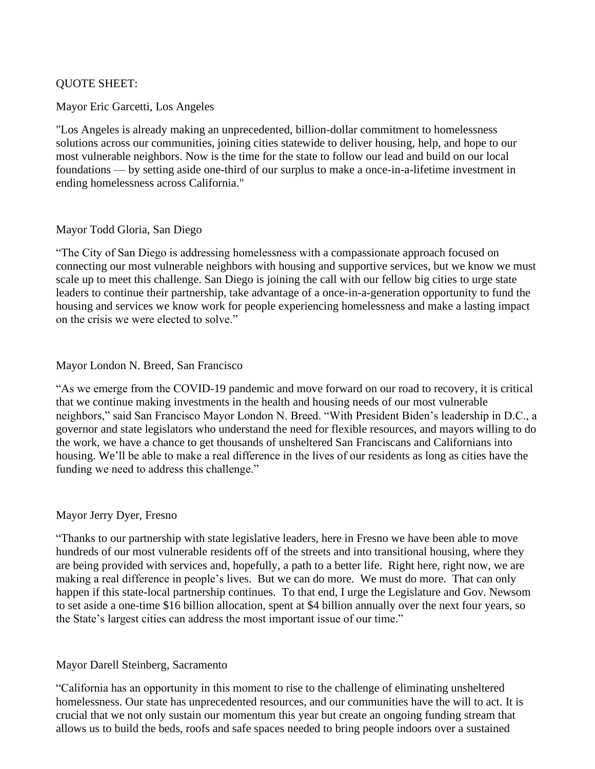# QUOTE SHEET:

## Mayor Eric Garcetti, Los Angeles

"Los Angeles is already making an unprecedented, billion-dollar commitment to homelessness solutions across our communities, joining cities statewide to deliver housing, help, and hope to our most vulnerable neighbors. Now is the time for the state to follow our lead and build on our local foundations –– by setting aside one-third of our surplus to make a once-in-a-lifetime investment in ending homelessness across California."

### Mayor Todd Gloria, San Diego

"The City of San Diego is addressing homelessness with a compassionate approach focused on connecting our most vulnerable neighbors with housing and supportive services, but we know we must scale up to meet this challenge. San Diego is joining the call with our fellow big cities to urge state leaders to continue their partnership, take advantage of a once-in-a-generation opportunity to fund the housing and services we know work for people experiencing homelessness and make a lasting impact on the crisis we were elected to solve."

### Mayor London N. Breed, San Francisco

"As we emerge from the COVID-19 pandemic and move forward on our road to recovery, it is critical that we continue making investments in the health and housing needs of our most vulnerable neighbors," said San Francisco Mayor London N. Breed. "With President Biden's leadership in D.C., a governor and state legislators who understand the need for flexible resources, and mayors willing to do the work, we have a chance to get thousands of unsheltered San Franciscans and Californians into housing. We'll be able to make a real difference in the lives of our residents as long as cities have the funding we need to address this challenge."

# Mayor Jerry Dyer, Fresno

"Thanks to our partnership with state legislative leaders, here in Fresno we have been able to move hundreds of our most vulnerable residents off of the streets and into transitional housing, where they are being provided with services and, hopefully, a path to a better life. Right here, right now, we are making a real difference in people's lives. But we can do more. We must do more. That can only happen if this state-local partnership continues. To that end, I urge the Legislature and Gov. Newsom to set aside a one-time \$16 billion allocation, spent at \$4 billion annually over the next four years, so the State's largest cities can address the most important issue of our time."

# Mayor Darell Steinberg, Sacramento

"California has an opportunity in this moment to rise to the challenge of eliminating unsheltered homelessness. Our state has unprecedented resources, and our communities have the will to act. It is crucial that we not only sustain our momentum this year but create an ongoing funding stream that allows us to build the beds, roofs and safe spaces needed to bring people indoors over a sustained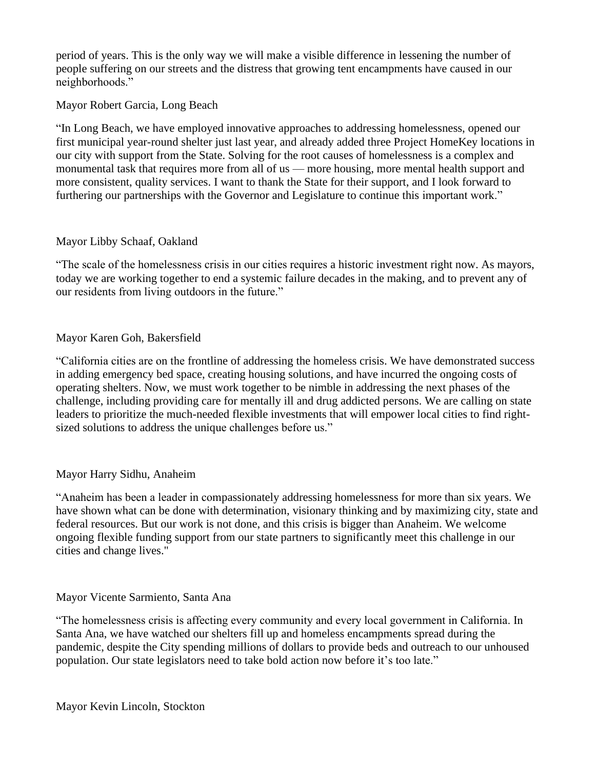period of years. This is the only way we will make a visible difference in lessening the number of people suffering on our streets and the distress that growing tent encampments have caused in our neighborhoods."

### Mayor Robert Garcia, Long Beach

"In Long Beach, we have employed innovative approaches to addressing homelessness, opened our first municipal year-round shelter just last year, and already added three Project HomeKey locations in our city with support from the State. Solving for the root causes of homelessness is a complex and monumental task that requires more from all of us — more housing, more mental health support and more consistent, quality services. I want to thank the State for their support, and I look forward to furthering our partnerships with the Governor and Legislature to continue this important work."

### Mayor Libby Schaaf, Oakland

"The scale of the homelessness crisis in our cities requires a historic investment right now. As mayors, today we are working together to end a systemic failure decades in the making, and to prevent any of our residents from living outdoors in the future."

### Mayor Karen Goh, Bakersfield

"California cities are on the frontline of addressing the homeless crisis. We have demonstrated success in adding emergency bed space, creating housing solutions, and have incurred the ongoing costs of operating shelters. Now, we must work together to be nimble in addressing the next phases of the challenge, including providing care for mentally ill and drug addicted persons. We are calling on state leaders to prioritize the much-needed flexible investments that will empower local cities to find rightsized solutions to address the unique challenges before us."

# Mayor Harry Sidhu, Anaheim

"Anaheim has been a leader in compassionately addressing homelessness for more than six years. We have shown what can be done with determination, visionary thinking and by maximizing city, state and federal resources. But our work is not done, and this crisis is bigger than Anaheim. We welcome ongoing flexible funding support from our state partners to significantly meet this challenge in our cities and change lives."

#### Mayor Vicente Sarmiento, Santa Ana

"The homelessness crisis is affecting every community and every local government in California. In Santa Ana, we have watched our shelters fill up and homeless encampments spread during the pandemic, despite the City spending millions of dollars to provide beds and outreach to our unhoused population. Our state legislators need to take bold action now before it's too late."